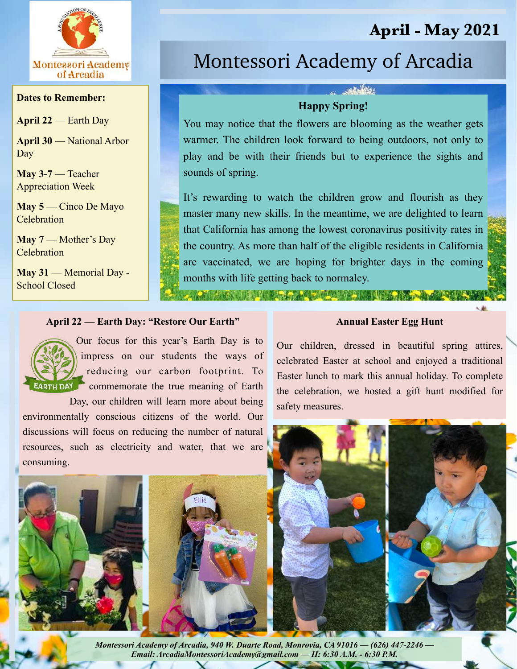

## **Dates to Remember:**

**April 22** — Earth Day

**April 30** — National Arbor Day

**May 3-7** — Teacher Appreciation Week

**May 5** — Cinco De Mayo **Celebration** 

**May 7** — Mother's Day **Celebration** 

**May 31** — Memorial Day - School Closed

# Montessori Academy of Arcadia

## **Saltables**

**April - May 2021**

## **Happy Spring!**

You may notice that the flowers are blooming as the weather gets warmer. The children look forward to being outdoors, not only to play and be with their friends but to experience the sights and sounds of spring.

It's rewarding to watch the children grow and flourish as they master many new skills. In the meantime, we are delighted to learn that California has among the lowest coronavirus positivity rates in the country. As more than half of the eligible residents in California are vaccinated, we are hoping for brighter days in the coming months with life getting back to normalcy.

**A BARBARA A BARBARA A BARBARA** 

#### **April 22 — Earth Day: "Restore Our Earth"**



Our focus for this year's Earth Day is to impress on our students the ways of reducing our carbon footprint. To commemorate the true meaning of Earth

Day, our children will learn more about being environmentally conscious citizens of the world. Our discussions will focus on reducing the number of natural resources, such as electricity and water, that we are consuming.

### **Annual Easter Egg Hunt**

Our children, dressed in beautiful spring attires, celebrated Easter at school and enjoyed a traditional Easter lunch to mark this annual holiday. To complete the celebration, we hosted a gift hunt modified for safety measures.



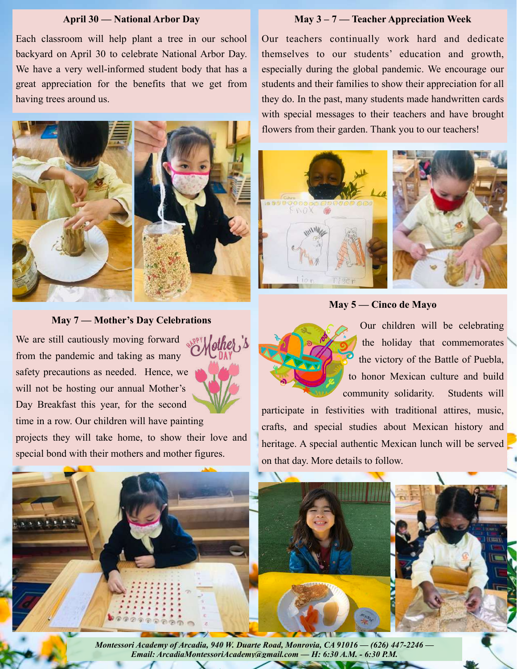#### **April 30 — National Arbor Day**

Each classroom will help plant a tree in our school backyard on April 30 to celebrate National Arbor Day. We have a very well-informed student body that has a great appreciation for the benefits that we get from having trees around us.



## **May 7 — Mother's Day Celebrations**

We are still cautiously moving forward from the pandemic and taking as many safety precautions as needed. Hence, we will not be hosting our annual Mother's Day Breakfast this year, for the second time in a row. Our children will have painting projects they will take home, to show their love and special bond with their mothers and mother figures.

**May 3 – 7 — Teacher Appreciation Week**

Our teachers continually work hard and dedicate themselves to our students' education and growth, especially during the global pandemic. We encourage our students and their families to show their appreciation for all they do. In the past, many students made handwritten cards with special messages to their teachers and have brought flowers from their garden. Thank you to our teachers!



## **May 5 — Cinco de Mayo**



Our children will be celebrating the holiday that commemorates the victory of the Battle of Puebla, to honor Mexican culture and build community solidarity. Students will

participate in festivities with traditional attires, music, crafts, and special studies about Mexican history and heritage. A special authentic Mexican lunch will be served on that day. More details to follow.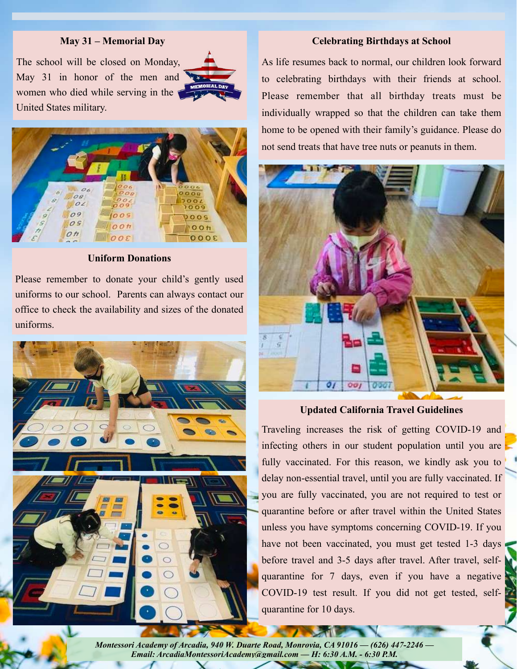### **May 31 – Memorial Day**

The school will be closed on Monday, May 31 in honor of the men and women who died while serving in the United States military.





## **Uniform Donations**

Please remember to donate your child's gently used uniforms to our school. Parents can always contact our office to check the availability and sizes of the donated uniforms.



#### **Celebrating Birthdays at School**

As life resumes back to normal, our children look forward to celebrating birthdays with their friends at school. Please remember that all birthday treats must be individually wrapped so that the children can take them home to be opened with their family's guidance. Please do not send treats that have tree nuts or peanuts in them.



## **Updated California Travel Guidelines**

Traveling increases the risk of getting COVID-19 and infecting others in our student population until you are fully vaccinated. For this reason, we kindly ask you to delay non-essential travel, until you are fully vaccinated. If you are fully vaccinated, you are not required to test or quarantine before or after travel within the United States unless you have symptoms concerning COVID-19. If you have not been vaccinated, you must get tested 1-3 days before travel and 3-5 days after travel. After travel, selfquarantine for 7 days, even if you have a negative COVID-19 test result. If you did not get tested, selfquarantine for 10 days.